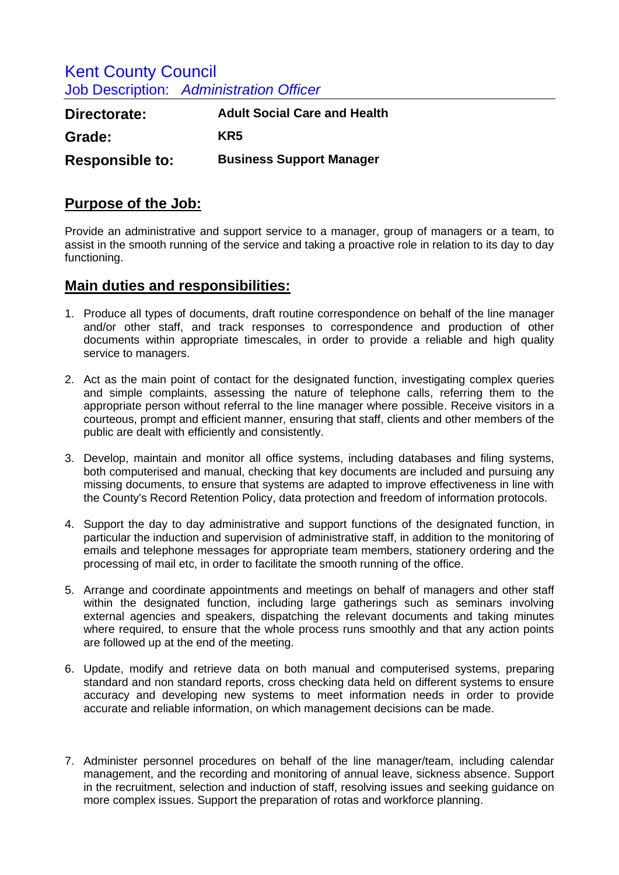Kent County Council Job Description: *Administration Officer* 

| Directorate:           | <b>Adult Social Care and Health</b> |
|------------------------|-------------------------------------|
| Grade:                 | KR5                                 |
| <b>Responsible to:</b> | <b>Business Support Manager</b>     |

## **Purpose of the Job:**

Provide an administrative and support service to a manager, group of managers or a team, to assist in the smooth running of the service and taking a proactive role in relation to its day to day functioning.

## **Main duties and responsibilities:**

- 1. Produce all types of documents, draft routine correspondence on behalf of the line manager and/or other staff, and track responses to correspondence and production of other documents within appropriate timescales, in order to provide a reliable and high quality service to managers.
- 2. Act as the main point of contact for the designated function, investigating complex queries and simple complaints, assessing the nature of telephone calls, referring them to the appropriate person without referral to the line manager where possible. Receive visitors in a courteous, prompt and efficient manner, ensuring that staff, clients and other members of the public are dealt with efficiently and consistently.
- 3. Develop, maintain and monitor all office systems, including databases and filing systems, both computerised and manual, checking that key documents are included and pursuing any missing documents, to ensure that systems are adapted to improve effectiveness in line with the County's Record Retention Policy, data protection and freedom of information protocols.
- 4. Support the day to day administrative and support functions of the designated function, in particular the induction and supervision of administrative staff, in addition to the monitoring of emails and telephone messages for appropriate team members, stationery ordering and the processing of mail etc, in order to facilitate the smooth running of the office.
- 5. Arrange and coordinate appointments and meetings on behalf of managers and other staff within the designated function, including large gatherings such as seminars involving external agencies and speakers, dispatching the relevant documents and taking minutes where required, to ensure that the whole process runs smoothly and that any action points are followed up at the end of the meeting.
- 6. Update, modify and retrieve data on both manual and computerised systems, preparing standard and non standard reports, cross checking data held on different systems to ensure accuracy and developing new systems to meet information needs in order to provide accurate and reliable information, on which management decisions can be made.
- 7. Administer personnel procedures on behalf of the line manager/team, including calendar management, and the recording and monitoring of annual leave, sickness absence. Support in the recruitment, selection and induction of staff, resolving issues and seeking guidance on more complex issues. Support the preparation of rotas and workforce planning.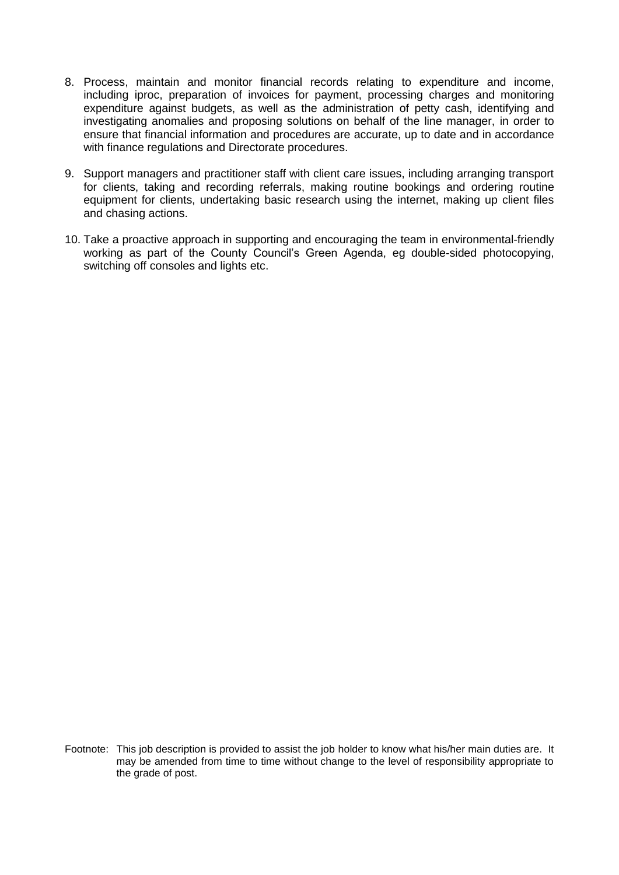- 8. Process, maintain and monitor financial records relating to expenditure and income, including iproc, preparation of invoices for payment, processing charges and monitoring expenditure against budgets, as well as the administration of petty cash, identifying and investigating anomalies and proposing solutions on behalf of the line manager, in order to ensure that financial information and procedures are accurate, up to date and in accordance with finance regulations and Directorate procedures.
- 9. Support managers and practitioner staff with client care issues, including arranging transport for clients, taking and recording referrals, making routine bookings and ordering routine equipment for clients, undertaking basic research using the internet, making up client files and chasing actions.
- 10. Take a proactive approach in supporting and encouraging the team in environmental-friendly working as part of the County Council's Green Agenda, eg double-sided photocopying, switching off consoles and lights etc.

Footnote: This job description is provided to assist the job holder to know what his/her main duties are. It may be amended from time to time without change to the level of responsibility appropriate to the grade of post.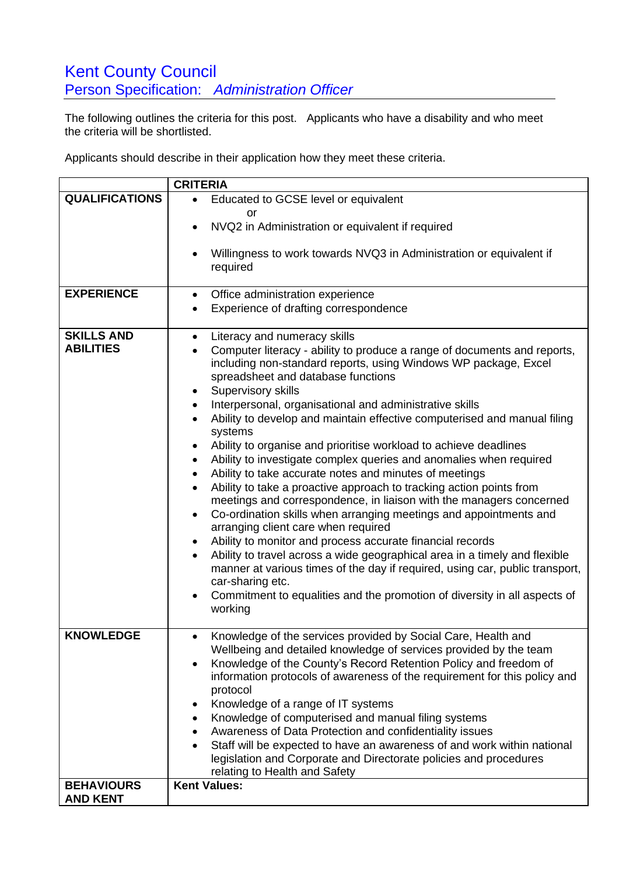## **Kent County Council** Person Specification: *Administration Officer*

The following outlines the criteria for this post. Applicants who have a disability and who meet the criteria will be shortlisted.

Applicants should describe in their application how they meet these criteria.

|                       | <b>CRITERIA</b>                                                                                                                                                                                                                                                                      |
|-----------------------|--------------------------------------------------------------------------------------------------------------------------------------------------------------------------------------------------------------------------------------------------------------------------------------|
| <b>QUALIFICATIONS</b> | Educated to GCSE level or equivalent<br>$\bullet$                                                                                                                                                                                                                                    |
|                       | or                                                                                                                                                                                                                                                                                   |
|                       | NVQ2 in Administration or equivalent if required                                                                                                                                                                                                                                     |
|                       | Willingness to work towards NVQ3 in Administration or equivalent if<br>required                                                                                                                                                                                                      |
| <b>EXPERIENCE</b>     | Office administration experience<br>٠                                                                                                                                                                                                                                                |
|                       | Experience of drafting correspondence                                                                                                                                                                                                                                                |
| <b>SKILLS AND</b>     | Literacy and numeracy skills<br>$\bullet$                                                                                                                                                                                                                                            |
| <b>ABILITIES</b>      | Computer literacy - ability to produce a range of documents and reports,<br>including non-standard reports, using Windows WP package, Excel<br>spreadsheet and database functions<br>Supervisory skills<br>٠<br>Interpersonal, organisational and administrative skills<br>$\bullet$ |
|                       | Ability to develop and maintain effective computerised and manual filing<br>$\bullet$<br>systems                                                                                                                                                                                     |
|                       | Ability to organise and prioritise workload to achieve deadlines<br>$\bullet$                                                                                                                                                                                                        |
|                       | Ability to investigate complex queries and anomalies when required<br>$\bullet$                                                                                                                                                                                                      |
|                       | Ability to take accurate notes and minutes of meetings<br>$\bullet$                                                                                                                                                                                                                  |
|                       | Ability to take a proactive approach to tracking action points from<br>$\bullet$                                                                                                                                                                                                     |
|                       | meetings and correspondence, in liaison with the managers concerned<br>Co-ordination skills when arranging meetings and appointments and<br>$\bullet$<br>arranging client care when required                                                                                         |
|                       | Ability to monitor and process accurate financial records<br>٠                                                                                                                                                                                                                       |
|                       | Ability to travel across a wide geographical area in a timely and flexible<br>manner at various times of the day if required, using car, public transport,<br>car-sharing etc.                                                                                                       |
|                       | Commitment to equalities and the promotion of diversity in all aspects of<br>working                                                                                                                                                                                                 |
| <b>KNOWLEDGE</b>      | Knowledge of the services provided by Social Care, Health and<br>Wellbeing and detailed knowledge of services provided by the team<br>Knowledge of the County's Record Retention Policy and freedom of<br>$\bullet$                                                                  |
|                       | information protocols of awareness of the requirement for this policy and<br>protocol                                                                                                                                                                                                |
|                       | Knowledge of a range of IT systems<br>٠                                                                                                                                                                                                                                              |
|                       | Knowledge of computerised and manual filing systems<br>$\bullet$                                                                                                                                                                                                                     |
|                       | Awareness of Data Protection and confidentiality issues<br>٠<br>Staff will be expected to have an awareness of and work within national                                                                                                                                              |
|                       | $\bullet$<br>legislation and Corporate and Directorate policies and procedures<br>relating to Health and Safety                                                                                                                                                                      |
| <b>BEHAVIOURS</b>     | <b>Kent Values:</b>                                                                                                                                                                                                                                                                  |
| <b>AND KENT</b>       |                                                                                                                                                                                                                                                                                      |